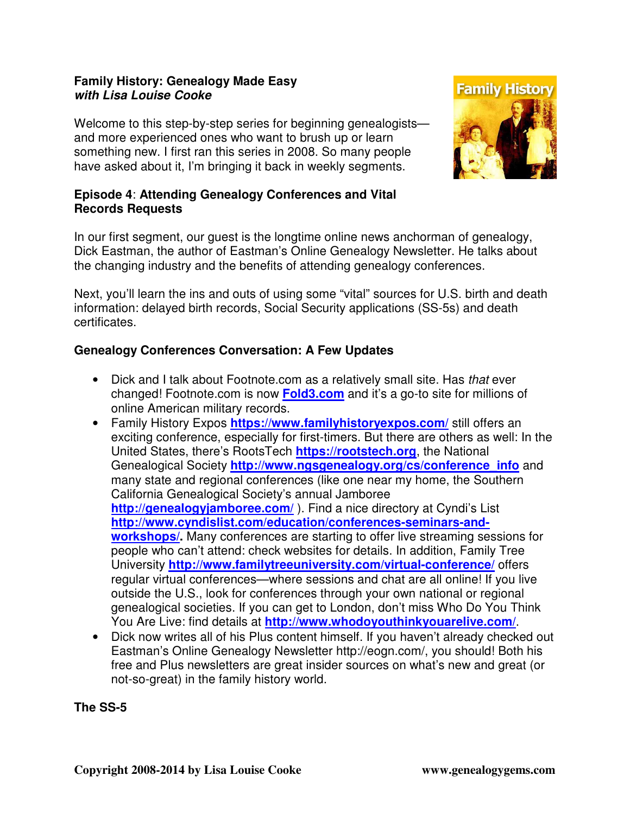## **Family History: Genealogy Made Easy with Lisa Louise Cooke**

Welcome to this step-by-step series for beginning genealogists and more experienced ones who want to brush up or learn something new. I first ran this series in 2008. So many people have asked about it, I'm bringing it back in weekly segments.



## **Episode 4**: **Attending Genealogy Conferences and Vital Records Requests**

In our first segment, our guest is the longtime online news anchorman of genealogy, Dick Eastman, the author of Eastman's Online Genealogy Newsletter. He talks about the changing industry and the benefits of attending genealogy conferences.

Next, you'll learn the ins and outs of using some "vital" sources for U.S. birth and death information: delayed birth records, Social Security applications (SS-5s) and death certificates.

# **Genealogy Conferences Conversation: A Few Updates**

- Dick and I talk about Footnote.com as a relatively small site. Has that ever changed! Footnote.com is now **Fold3.com** and it's a go-to site for millions of online American military records.
- Family History Expos **https://www.familyhistoryexpos.com/** still offers an exciting conference, especially for first-timers. But there are others as well: In the United States, there's RootsTech **https://rootstech.org**, the National Genealogical Society **http://www.ngsgenealogy.org/cs/conference\_info** and many state and regional conferences (like one near my home, the Southern California Genealogical Society's annual Jamboree **http://genealogyjamboree.com/** ). Find a nice directory at Cyndi's List **http://www.cyndislist.com/education/conferences-seminars-andworkshops/.** Many conferences are starting to offer live streaming sessions for people who can't attend: check websites for details. In addition, Family Tree University **http://www.familytreeuniversity.com/virtual-conference/** offers regular virtual conferences—where sessions and chat are all online! If you live outside the U.S., look for conferences through your own national or regional genealogical societies. If you can get to London, don't miss Who Do You Think You Are Live: find details at **http://www.whodoyouthinkyouarelive.com/**.
- Dick now writes all of his Plus content himself. If you haven't already checked out Eastman's Online Genealogy Newsletter http://eogn.com/, you should! Both his free and Plus newsletters are great insider sources on what's new and great (or not-so-great) in the family history world.

**The SS-5**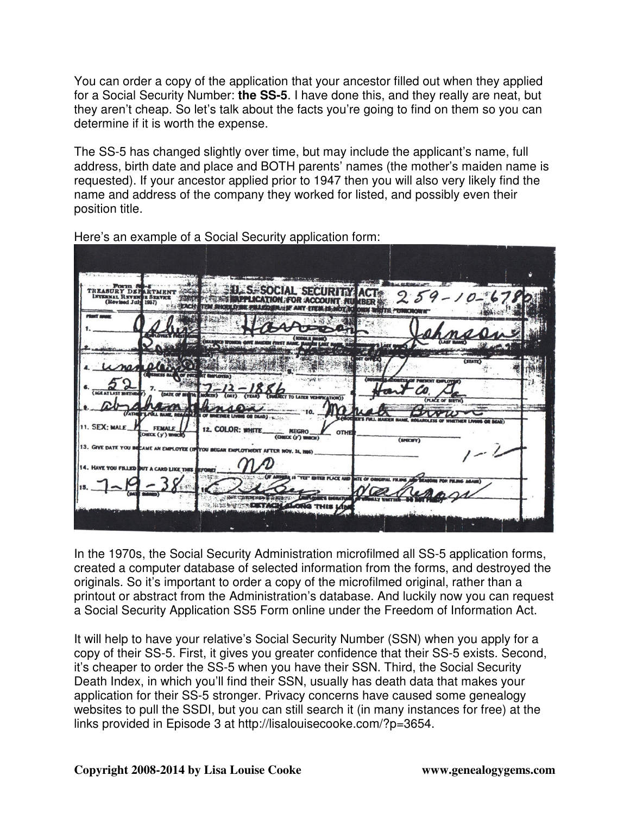You can order a copy of the application that your ancestor filled out when they applied for a Social Security Number: **the SS-5**. I have done this, and they really are neat, but they aren't cheap. So let's talk about the facts you're going to find on them so you can determine if it is worth the expense.

The SS-5 has changed slightly over time, but may include the applicant's name, full address, birth date and place and BOTH parents' names (the mother's maiden name is requested). If your ancestor applied prior to 1947 then you will also very likely find the name and address of the company they worked for listed, and possibly even their position title.

| DEE<br>INTERNAL REVEN<br>(Revised July 1937)    | 124                                    |                                                                                | $60 - 150$ is a section               | A ME WINNER OF LA<br><b>IN THE FULLED</b> |                      |  |
|-------------------------------------------------|----------------------------------------|--------------------------------------------------------------------------------|---------------------------------------|-------------------------------------------|----------------------|--|
|                                                 |                                        |                                                                                |                                       |                                           |                      |  |
|                                                 |                                        |                                                                                | <b>TEST I</b>                         |                                           |                      |  |
|                                                 | <b>SALE 2 15</b>                       | <b>(T ENERLOYEK)</b>                                                           |                                       |                                           | <b>STATE</b>         |  |
| (AGE AT LAST BIRTHER                            |                                        | <b>BACRETTY</b>                                                                | (CORDSTA                              |                                           | <b>KARAT EMPLOY</b>  |  |
|                                                 | TOLL HANGE, RESAGNATES OF WHICHIER LIV |                                                                                |                                       |                                           | <b>LACE OF BIRTH</b> |  |
| 11. SEX: MALE                                   | <b>FEMALE</b><br>(CHECK (y') WHICH     | 12. COLOR: WHITE                                                               | NEGRO<br>OTHE<br>$(CHSCK2(y')$ WHICH) | (SPECIFY)                                 |                      |  |
|                                                 |                                        | 13. GIVE DATE YOU BECAME AN EMPLOYEE (IP YOU BEGAN EMPLOYMENT AFTER NOV. 24, 8 |                                       |                                           |                      |  |
| 14. HAVE YOU FILLED BUT A CARD LIKE THIS BEFORE |                                        |                                                                                | <b>INTER PLACE AND</b>                | <b>LTE OF ORIGINAL FILMME</b>             |                      |  |
|                                                 |                                        |                                                                                | <b>LOOKEY'S ENGINATL</b>              |                                           |                      |  |
|                                                 |                                        |                                                                                | <b>Ja THIS LAI</b>                    |                                           |                      |  |

Here's an example of a Social Security application form:

In the 1970s, the Social Security Administration microfilmed all SS-5 application forms, created a computer database of selected information from the forms, and destroyed the originals. So it's important to order a copy of the microfilmed original, rather than a printout or abstract from the Administration's database. And luckily now you can request a Social Security Application SS5 Form online under the Freedom of Information Act.

It will help to have your relative's Social Security Number (SSN) when you apply for a copy of their SS-5. First, it gives you greater confidence that their SS-5 exists. Second, it's cheaper to order the SS-5 when you have their SSN. Third, the Social Security Death Index, in which you'll find their SSN, usually has death data that makes your application for their SS-5 stronger. Privacy concerns have caused some genealogy websites to pull the SSDI, but you can still search it (in many instances for free) at the links provided in Episode 3 at http://lisalouisecooke.com/?p=3654.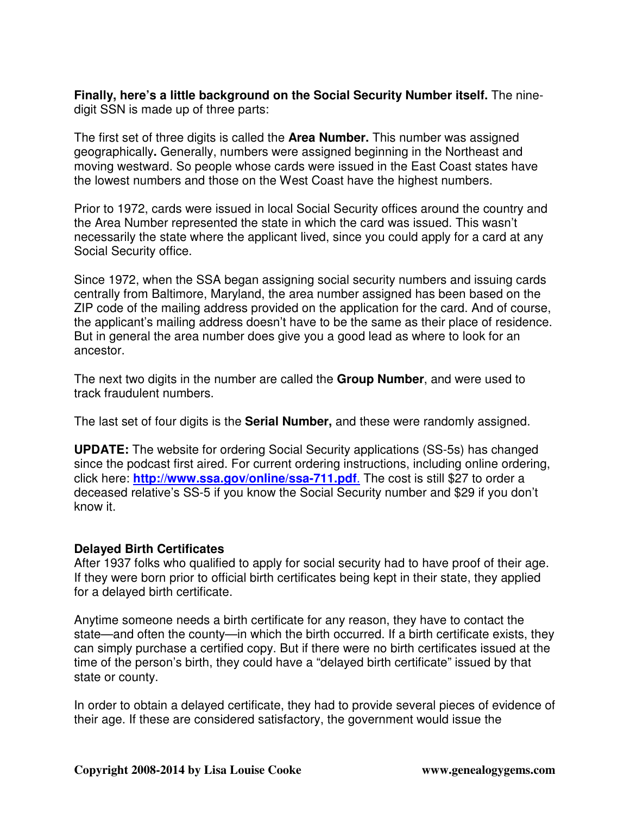**Finally, here's a little background on the Social Security Number itself.** The ninedigit SSN is made up of three parts:

The first set of three digits is called the **Area Number.** This number was assigned geographically**.** Generally, numbers were assigned beginning in the Northeast and moving westward. So people whose cards were issued in the East Coast states have the lowest numbers and those on the West Coast have the highest numbers.

Prior to 1972, cards were issued in local Social Security offices around the country and the Area Number represented the state in which the card was issued. This wasn't necessarily the state where the applicant lived, since you could apply for a card at any Social Security office.

Since 1972, when the SSA began assigning social security numbers and issuing cards centrally from Baltimore, Maryland, the area number assigned has been based on the ZIP code of the mailing address provided on the application for the card. And of course, the applicant's mailing address doesn't have to be the same as their place of residence. But in general the area number does give you a good lead as where to look for an ancestor.

The next two digits in the number are called the **Group Number**, and were used to track fraudulent numbers.

The last set of four digits is the **Serial Number,** and these were randomly assigned.

**UPDATE:** The website for ordering Social Security applications (SS-5s) has changed since the podcast first aired. For current ordering instructions, including online ordering, click here: **http://www.ssa.gov/online/ssa-711.pdf**. The cost is still \$27 to order a deceased relative's SS-5 if you know the Social Security number and \$29 if you don't know it.

# **Delayed Birth Certificates**

After 1937 folks who qualified to apply for social security had to have proof of their age. If they were born prior to official birth certificates being kept in their state, they applied for a delayed birth certificate.

Anytime someone needs a birth certificate for any reason, they have to contact the state—and often the county—in which the birth occurred. If a birth certificate exists, they can simply purchase a certified copy. But if there were no birth certificates issued at the time of the person's birth, they could have a "delayed birth certificate" issued by that state or county.

In order to obtain a delayed certificate, they had to provide several pieces of evidence of their age. If these are considered satisfactory, the government would issue the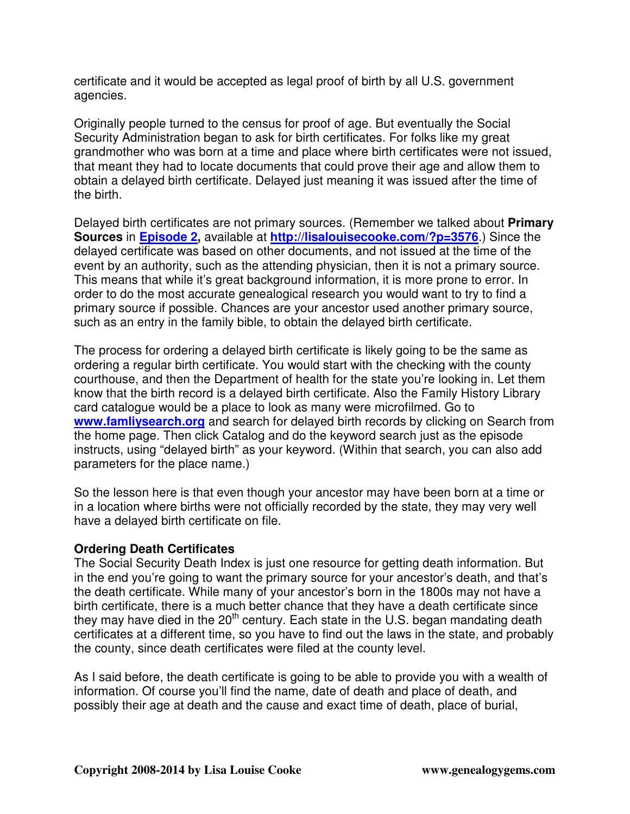certificate and it would be accepted as legal proof of birth by all U.S. government agencies.

Originally people turned to the census for proof of age. But eventually the Social Security Administration began to ask for birth certificates. For folks like my great grandmother who was born at a time and place where birth certificates were not issued, that meant they had to locate documents that could prove their age and allow them to obtain a delayed birth certificate. Delayed just meaning it was issued after the time of the birth.

Delayed birth certificates are not primary sources. (Remember we talked about **Primary Sources** in **Episode 2,** available at **http://lisalouisecooke.com/?p=3576**.) Since the delayed certificate was based on other documents, and not issued at the time of the event by an authority, such as the attending physician, then it is not a primary source. This means that while it's great background information, it is more prone to error. In order to do the most accurate genealogical research you would want to try to find a primary source if possible. Chances are your ancestor used another primary source, such as an entry in the family bible, to obtain the delayed birth certificate.

The process for ordering a delayed birth certificate is likely going to be the same as ordering a regular birth certificate. You would start with the checking with the county courthouse, and then the Department of health for the state you're looking in. Let them know that the birth record is a delayed birth certificate. Also the Family History Library card catalogue would be a place to look as many were microfilmed. Go to **www.famliysearch.org** and search for delayed birth records by clicking on Search from the home page. Then click Catalog and do the keyword search just as the episode instructs, using "delayed birth" as your keyword. (Within that search, you can also add parameters for the place name.)

So the lesson here is that even though your ancestor may have been born at a time or in a location where births were not officially recorded by the state, they may very well have a delayed birth certificate on file.

### **Ordering Death Certificates**

The Social Security Death Index is just one resource for getting death information. But in the end you're going to want the primary source for your ancestor's death, and that's the death certificate. While many of your ancestor's born in the 1800s may not have a birth certificate, there is a much better chance that they have a death certificate since they may have died in the  $20<sup>th</sup>$  century. Each state in the U.S. began mandating death certificates at a different time, so you have to find out the laws in the state, and probably the county, since death certificates were filed at the county level.

As I said before, the death certificate is going to be able to provide you with a wealth of information. Of course you'll find the name, date of death and place of death, and possibly their age at death and the cause and exact time of death, place of burial,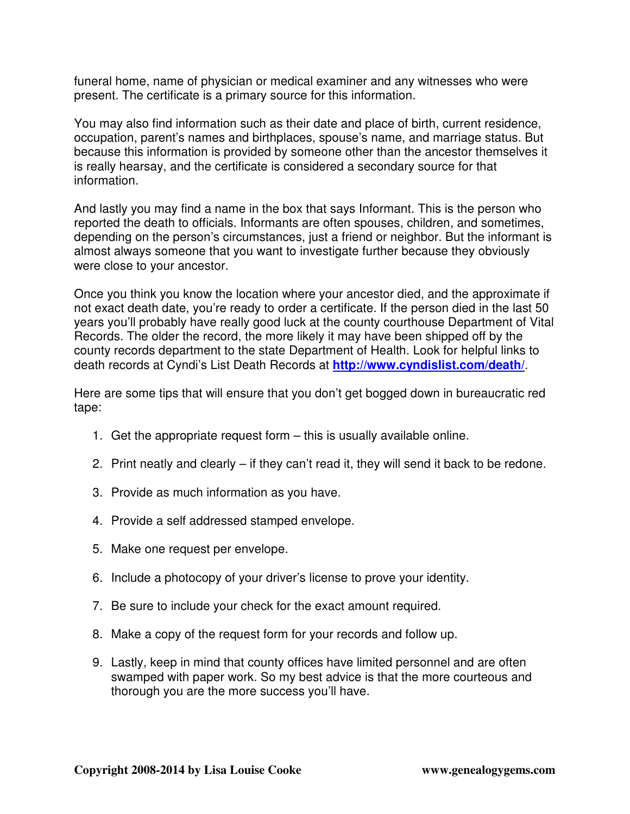funeral home, name of physician or medical examiner and any witnesses who were present. The certificate is a primary source for this information.

You may also find information such as their date and place of birth, current residence, occupation, parent's names and birthplaces, spouse's name, and marriage status. But because this information is provided by someone other than the ancestor themselves it is really hearsay, and the certificate is considered a secondary source for that information.

And lastly you may find a name in the box that says Informant. This is the person who reported the death to officials. Informants are often spouses, children, and sometimes, depending on the person's circumstances, just a friend or neighbor. But the informant is almost always someone that you want to investigate further because they obviously were close to your ancestor.

Once you think you know the location where your ancestor died, and the approximate if not exact death date, you're ready to order a certificate. If the person died in the last 50 years you'll probably have really good luck at the county courthouse Department of Vital Records. The older the record, the more likely it may have been shipped off by the county records department to the state Department of Health. Look for helpful links to death records at Cyndi's List Death Records at **http://www.cyndislist.com/death/**.

Here are some tips that will ensure that you don't get bogged down in bureaucratic red tape:

- 1. Get the appropriate request form this is usually available online.
- 2. Print neatly and clearly if they can't read it, they will send it back to be redone.
- 3. Provide as much information as you have.
- 4. Provide a self addressed stamped envelope.
- 5. Make one request per envelope.
- 6. Include a photocopy of your driver's license to prove your identity.
- 7. Be sure to include your check for the exact amount required.
- 8. Make a copy of the request form for your records and follow up.
- 9. Lastly, keep in mind that county offices have limited personnel and are often swamped with paper work. So my best advice is that the more courteous and thorough you are the more success you'll have.